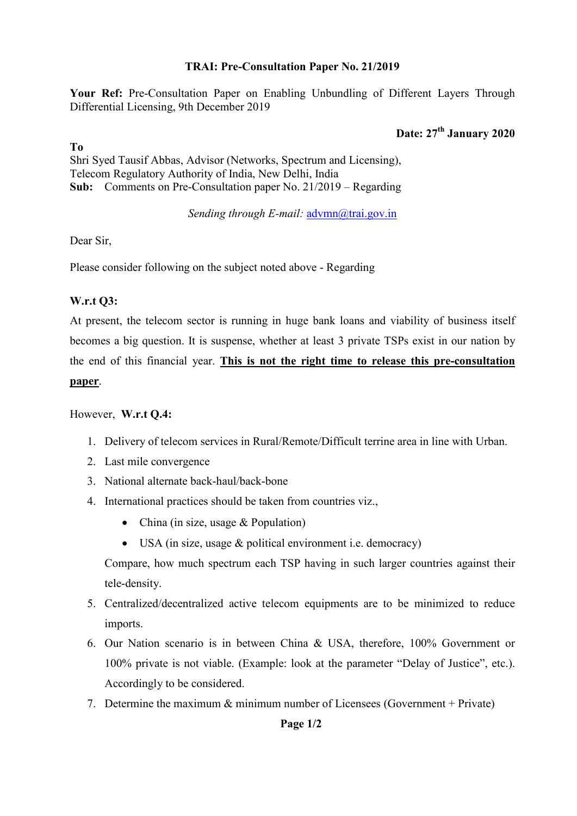## **TRAI: Pre-Consultation Paper No. 21/2019**

**Your Ref:** Pre-Consultation Paper on Enabling Unbundling of Different Layers Through Differential Licensing, 9th December 2019

# **Date: 27th January 2020**

## **To**

Shri Syed Tausif Abbas, Advisor (Networks, Spectrum and Licensing), Telecom Regulatory Authority of India, New Delhi, India **Sub:** Comments on Pre-Consultation paper No. 21/2019 – Regarding

*Sending through E-mail:* advmn@trai.gov.in

Dear Sir,

Please consider following on the subject noted above - Regarding

## **W.r.t Q3:**

At present, the telecom sector is running in huge bank loans and viability of business itself becomes a big question. It is suspense, whether at least 3 private TSPs exist in our nation by the end of this financial year. **This is not the right time to release this pre-consultation paper**.

## However, **W.r.t Q.4:**

- 1. Delivery of telecom services in Rural/Remote/Difficult terrine area in line with Urban.
- 2. Last mile convergence
- 3. National alternate back-haul/back-bone
- 4. International practices should be taken from countries viz.,
	- China (in size, usage & Population)
	- USA (in size, usage & political environment i.e. democracy)

Compare, how much spectrum each TSP having in such larger countries against their tele-density.

- 5. Centralized/decentralized active telecom equipments are to be minimized to reduce imports.
- 6. Our Nation scenario is in between China & USA, therefore, 100% Government or 100% private is not viable. (Example: look at the parameter "Delay of Justice", etc.). Accordingly to be considered.
- 7. Determine the maximum & minimum number of Licensees (Government + Private)